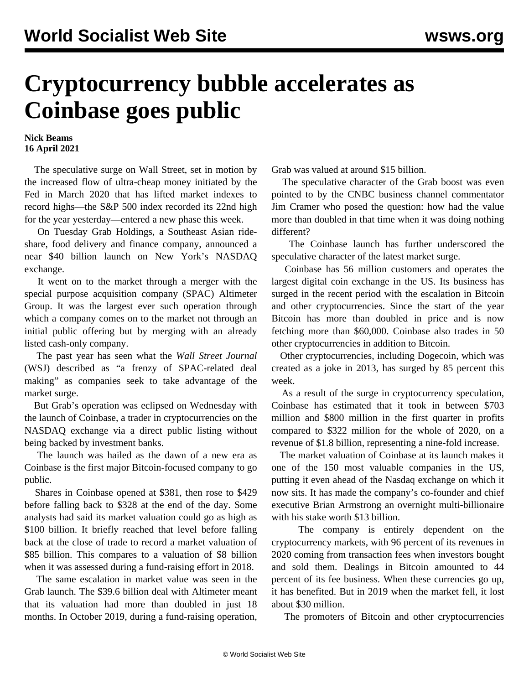## **Cryptocurrency bubble accelerates as Coinbase goes public**

## **Nick Beams 16 April 2021**

 The speculative surge on Wall Street, set in motion by the increased flow of ultra-cheap money initiated by the Fed in March 2020 that has lifted market indexes to record highs—the S&P 500 index recorded its 22nd high for the year yesterday—entered a new phase this week.

 On Tuesday Grab Holdings, a Southeast Asian rideshare, food delivery and finance company, announced a near \$40 billion launch on New York's NASDAQ exchange.

 It went on to the market through a merger with the special purpose acquisition company (SPAC) Altimeter Group. It was the largest ever such operation through which a company comes on to the market not through an initial public offering but by merging with an already listed cash-only company.

 The past year has seen what the *Wall Street Journal* (WSJ) described as "a frenzy of SPAC-related deal making" as companies seek to take advantage of the market surge.

 But Grab's operation was eclipsed on Wednesday with the launch of Coinbase, a trader in cryptocurrencies on the NASDAQ exchange via a direct public listing without being backed by investment banks.

 The launch was hailed as the dawn of a new era as Coinbase is the first major Bitcoin-focused company to go public.

 Shares in Coinbase opened at \$381, then rose to \$429 before falling back to \$328 at the end of the day. Some analysts had said its market valuation could go as high as \$100 billion. It briefly reached that level before falling back at the close of trade to record a market valuation of \$85 billion. This compares to a valuation of \$8 billion when it was assessed during a fund-raising effort in 2018.

 The same escalation in market value was seen in the Grab launch. The \$39.6 billion deal with Altimeter meant that its valuation had more than doubled in just 18 months. In October 2019, during a fund-raising operation,

Grab was valued at around \$15 billion.

 The speculative character of the Grab boost was even pointed to by the CNBC business channel commentator Jim Cramer who posed the question: how had the value more than doubled in that time when it was doing nothing different?

 The Coinbase launch has further underscored the speculative character of the latest market surge.

 Coinbase has 56 million customers and operates the largest digital coin exchange in the US. Its business has surged in the recent period with the escalation in Bitcoin and other cryptocurrencies. Since the start of the year Bitcoin has more than doubled in price and is now fetching more than \$60,000. Coinbase also trades in 50 other cryptocurrencies in addition to Bitcoin.

 Other cryptocurrencies, including Dogecoin, which was created as a joke in 2013, has surged by 85 percent this week.

 As a result of the surge in cryptocurrency speculation, Coinbase has estimated that it took in between \$703 million and \$800 million in the first quarter in profits compared to \$322 million for the whole of 2020, on a revenue of \$1.8 billion, representing a nine-fold increase.

 The market valuation of Coinbase at its launch makes it one of the 150 most valuable companies in the US, putting it even ahead of the Nasdaq exchange on which it now sits. It has made the company's co-founder and chief executive Brian Armstrong an overnight multi-billionaire with his stake worth \$13 billion.

 The company is entirely dependent on the cryptocurrency markets, with 96 percent of its revenues in 2020 coming from transaction fees when investors bought and sold them. Dealings in Bitcoin amounted to 44 percent of its fee business. When these currencies go up, it has benefited. But in 2019 when the market fell, it lost about \$30 million.

The promoters of Bitcoin and other cryptocurrencies